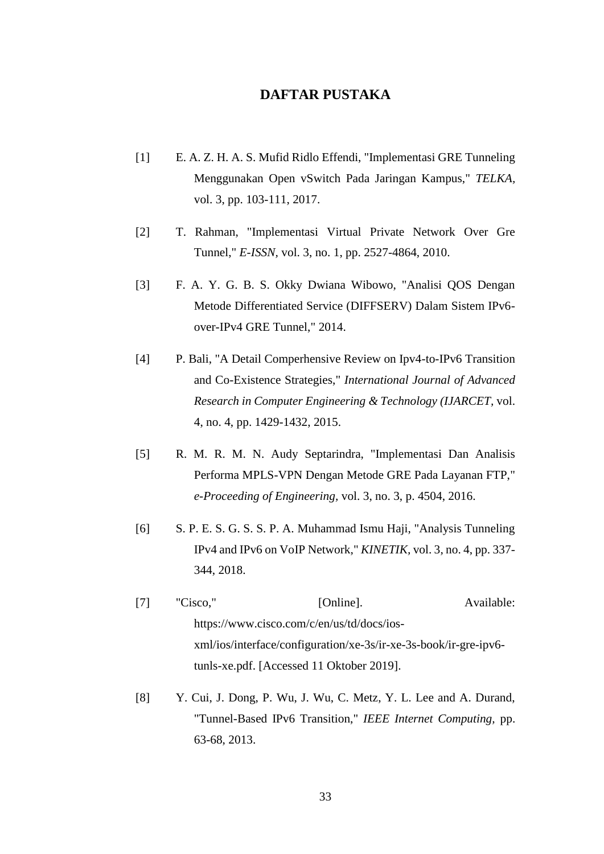## **DAFTAR PUSTAKA**

- [1] E. A. Z. H. A. S. Mufid Ridlo Effendi, "Implementasi GRE Tunneling Menggunakan Open vSwitch Pada Jaringan Kampus," *TELKA,*  vol. 3, pp. 103-111, 2017.
- [2] T. Rahman, "Implementasi Virtual Private Network Over Gre Tunnel," *E-ISSN,* vol. 3, no. 1, pp. 2527-4864, 2010.
- [3] F. A. Y. G. B. S. Okky Dwiana Wibowo, "Analisi QOS Dengan Metode Differentiated Service (DIFFSERV) Dalam Sistem IPv6 over-IPv4 GRE Tunnel," 2014.
- [4] P. Bali, "A Detail Comperhensive Review on Ipv4-to-IPv6 Transition and Co-Existence Strategies," *International Journal of Advanced Research in Computer Engineering & Technology (IJARCET,* vol. 4, no. 4, pp. 1429-1432, 2015.
- [5] R. M. R. M. N. Audy Septarindra, "Implementasi Dan Analisis Performa MPLS-VPN Dengan Metode GRE Pada Layanan FTP," *e-Proceeding of Engineering,* vol. 3, no. 3, p. 4504, 2016.
- [6] S. P. E. S. G. S. S. P. A. Muhammad Ismu Haji, "Analysis Tunneling IPv4 and IPv6 on VoIP Network," *KINETIK,* vol. 3, no. 4, pp. 337- 344, 2018.
- [7] "Cisco," [Online]. Available: https://www.cisco.com/c/en/us/td/docs/iosxml/ios/interface/configuration/xe-3s/ir-xe-3s-book/ir-gre-ipv6 tunls-xe.pdf. [Accessed 11 Oktober 2019].
- [8] Y. Cui, J. Dong, P. Wu, J. Wu, C. Metz, Y. L. Lee and A. Durand, "Tunnel-Based IPv6 Transition," *IEEE Internet Computing,* pp. 63-68, 2013.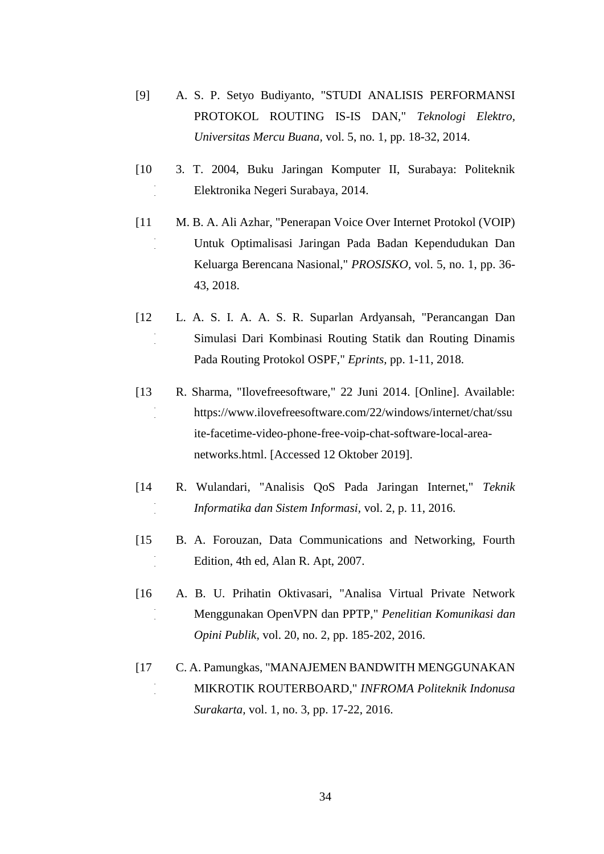- [9] A. S. P. Setyo Budiyanto, "STUDI ANALISIS PERFORMANSI PROTOKOL ROUTING IS-IS DAN," *Teknologi Elektro, Universitas Mercu Buana,* vol. 5, no. 1, pp. 18-32, 2014.
- [10  $\mathbb{Z}$ 3. T. 2004, Buku Jaringan Komputer II, Surabaya: Politeknik Elektronika Negeri Surabaya, 2014.
- [11 ] M. B. A. Ali Azhar, "Penerapan Voice Over Internet Protokol (VOIP) Untuk Optimalisasi Jaringan Pada Badan Kependudukan Dan Keluarga Berencana Nasional," *PROSISKO,* vol. 5, no. 1, pp. 36- 43, 2018.
- $[12]$  $\tilde{\gamma}$ L. A. S. I. A. A. S. R. Suparlan Ardyansah, "Perancangan Dan Simulasi Dari Kombinasi Routing Statik dan Routing Dinamis Pada Routing Protokol OSPF," *Eprints,* pp. 1-11, 2018.
- [13  $\tilde{z}$ R. Sharma, "Ilovefreesoftware," 22 Juni 2014. [Online]. Available: https://www.ilovefreesoftware.com/22/windows/internet/chat/ssu ite-facetime-video-phone-free-voip-chat-software-local-areanetworks.html. [Accessed 12 Oktober 2019].
- [14  $\tilde{z}$ R. Wulandari, "Analisis QoS Pada Jaringan Internet," *Teknik Informatika dan Sistem Informasi,* vol. 2, p. 11, 2016.
- [15  $\mathbb{Z}$ B. A. Forouzan, Data Communications and Networking, Fourth Edition, 4th ed, Alan R. Apt, 2007.
- [16  $\tilde{z}$ A. B. U. Prihatin Oktivasari, "Analisa Virtual Private Network Menggunakan OpenVPN dan PPTP," *Penelitian Komunikasi dan Opini Publik,* vol. 20, no. 2, pp. 185-202, 2016.
- [17  $\tilde{a}$ C. A. Pamungkas, "MANAJEMEN BANDWITH MENGGUNAKAN MIKROTIK ROUTERBOARD," *INFROMA Politeknik Indonusa Surakarta,* vol. 1, no. 3, pp. 17-22, 2016.